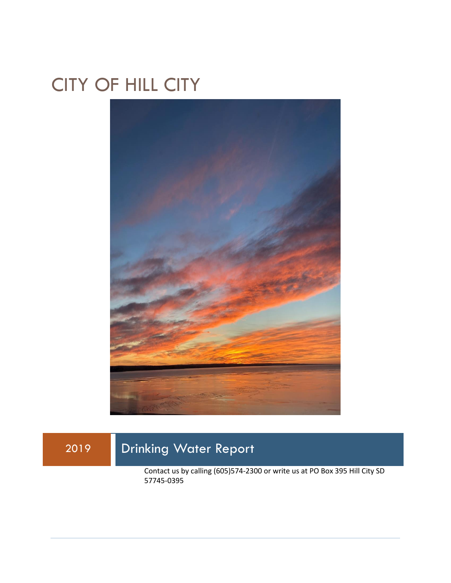## CITY OF HILL CITY



2019 Drinking Water Report Contact us by calling (605)574-2300 or write us at PO Box 395 Hill City SD 57745-0395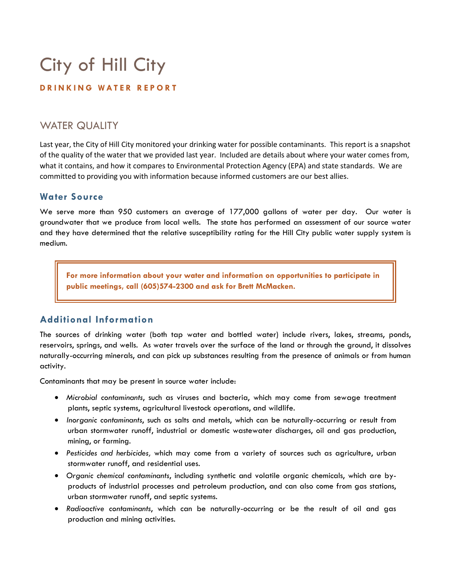# City of Hill City

#### **D R I N K I N G W A T E R R E P O R T**

## WATER QUALITY

Last year, the City of Hill City monitored your drinking water for possible contaminants. This report is a snapshot of the quality of the water that we provided last year. Included are details about where your water comes from, what it contains, and how it compares to Environmental Protection Agency (EPA) and state standards. We are committed to providing you with information because informed customers are our best allies.

#### **Water Source**

We serve more than 950 customers an average of 177,000 gallons of water per day. Our water is groundwater that we produce from local wells. The state has performed an assessment of our source water and they have determined that the relative susceptibility rating for the Hill City public water supply system is medium.

**For more information about your water and information on opportunities to participate in public meetings, call (605)574-2300 and ask for Brett McMacken.**

### **Additional Information**

The sources of drinking water (both tap water and bottled water) include rivers, lakes, streams, ponds, reservoirs, springs, and wells. As water travels over the surface of the land or through the ground, it dissolves naturally-occurring minerals, and can pick up substances resulting from the presence of animals or from human activity.

Contaminants that may be present in source water include:

- *Microbial contaminants*, such as viruses and bacteria, which may come from sewage treatment plants, septic systems, agricultural livestock operations, and wildlife.
- *Inorganic contaminants*, such as salts and metals, which can be naturally-occurring or result from urban stormwater runoff, industrial or domestic wastewater discharges, oil and gas production, mining, or farming.
- *Pesticides and herbicides,* which may come from a variety of sources such as agriculture, urban stormwater runoff, and residential uses.
- *Organic chemical contaminants*, including synthetic and volatile organic chemicals, which are byproducts of industrial processes and petroleum production, and can also come from gas stations, urban stormwater runoff, and septic systems.
- *Radioactive contaminants*, which can be naturally-occurring or be the result of oil and gas production and mining activities.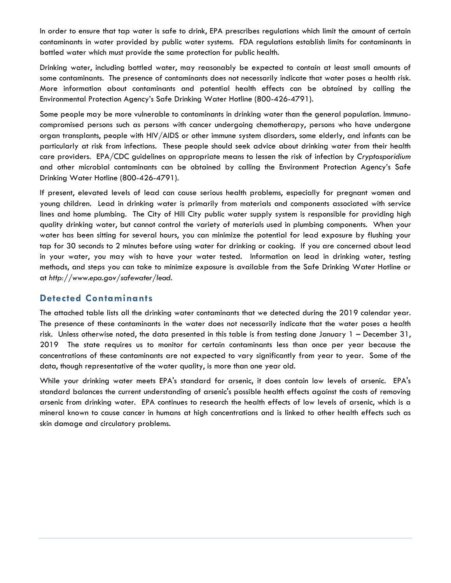In order to ensure that tap water is safe to drink, EPA prescribes regulations which limit the amount of certain contaminants in water provided by public water systems. FDA regulations establish limits for contaminants in bottled water which must provide the same protection for public health.

Drinking water, including bottled water, may reasonably be expected to contain at least small amounts of some contaminants. The presence of contaminants does not necessarily indicate that water poses a health risk. More information about contaminants and potential health effects can be obtained by calling the Environmental Protection Agency's Safe Drinking Water Hotline (800-426-4791).

Some people may be more vulnerable to contaminants in drinking water than the general population. Immunocompromised persons such as persons with cancer undergoing chemotherapy, persons who have undergone organ transplants, people with HIV/AIDS or other immune system disorders, some elderly, and infants can be particularly at risk from infections. These people should seek advice about drinking water from their health care providers. EPA/CDC guidelines on appropriate means to lessen the risk of infection by *Cryptosporidium* and other microbial contaminants can be obtained by calling the Environment Protection Agency's Safe Drinking Water Hotline (800-426-4791).

If present, elevated levels of lead can cause serious health problems, especially for pregnant women and young children. Lead in drinking water is primarily from materials and components associated with service lines and home plumbing. The City of Hill City public water supply system is responsible for providing high quality drinking water, but cannot control the variety of materials used in plumbing components. When your water has been sitting for several hours, you can minimize the potential for lead exposure by flushing your tap for 30 seconds to 2 minutes before using water for drinking or cooking. If you are concerned about lead in your water, you may wish to have your water tested. Information on lead in drinking water, testing methods, and steps you can take to minimize exposure is available from the Safe Drinking Water Hotline or at *http://www.epa.gov/safewater/lead*.

#### **Detected Contaminants**

The attached table lists all the drinking water contaminants that we detected during the 2019 calendar year. The presence of these contaminants in the water does not necessarily indicate that the water poses a health risk. Unless otherwise noted, the data presented in this table is from testing done January 1 – December 31, 2019 The state requires us to monitor for certain contaminants less than once per year because the concentrations of these contaminants are not expected to vary significantly from year to year. Some of the data, though representative of the water quality, is more than one year old.

While your drinking water meets EPA's standard for arsenic, it does contain low levels of arsenic. EPA's standard balances the current understanding of arsenic's possible health effects against the costs of removing arsenic from drinking water. EPA continues to research the health effects of low levels of arsenic, which is a mineral known to cause cancer in humans at high concentrations and is linked to other health effects such as skin damage and circulatory problems.